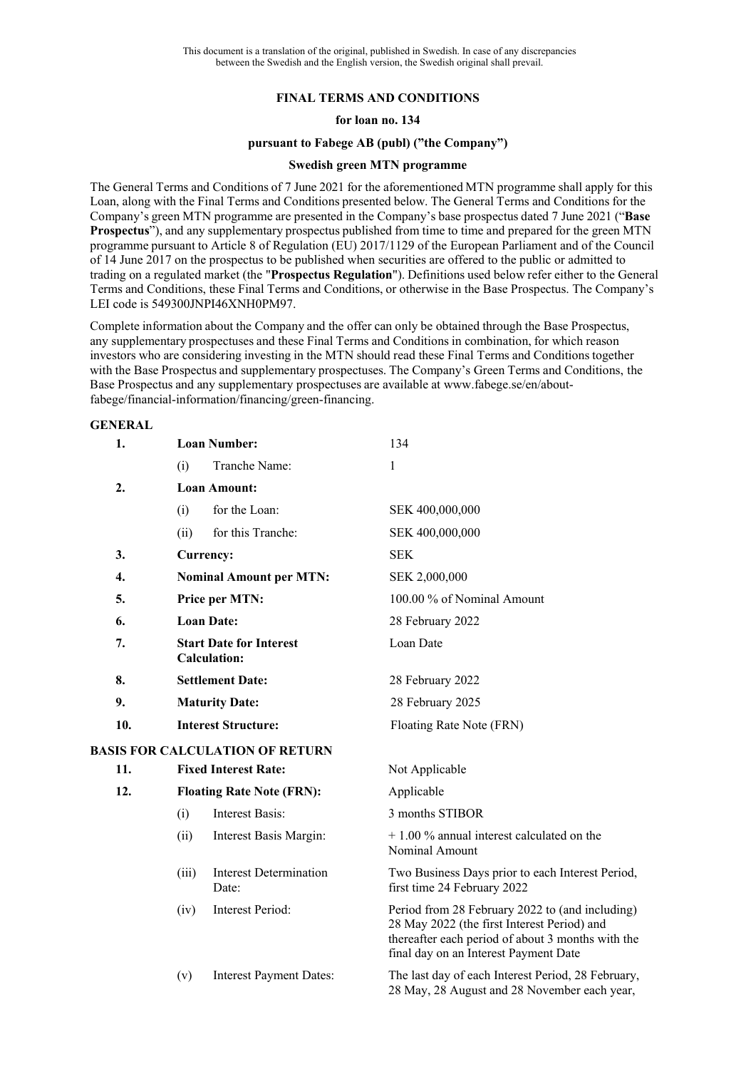# **FINAL TERMS AND CONDITIONS**

## **for loan no. 134**

#### **pursuant to Fabege AB (publ) ("the Company")**

## **Swedish green MTN programme**

The General Terms and Conditions of 7 June 2021 for the aforementioned MTN programme shall apply for this Loan, along with the Final Terms and Conditions presented below. The General Terms and Conditions for the Company's green MTN programme are presented in the Company's base prospectus dated 7 June 2021 ("**Base Prospectus**"), and any supplementary prospectus published from time to time and prepared for the green MTN programme pursuant to Article 8 of Regulation (EU) 2017/1129 of the European Parliament and of the Council of 14 June 2017 on the prospectus to be published when securities are offered to the public or admitted to trading on a regulated market (the "**Prospectus Regulation**"). Definitions used below refer either to the General Terms and Conditions, these Final Terms and Conditions, or otherwise in the Base Prospectus. The Company's LEI code is 549300JNPI46XNH0PM97.

Complete information about the Company and the offer can only be obtained through the Base Prospectus, any supplementary prospectuses and these Final Terms and Conditions in combination, for which reason investors who are considering investing in the MTN should read these Final Terms and Conditions together with the Base Prospectus and supplementary prospectuses. The Company's Green Terms and Conditions, the Base Prospectus and any supplementary prospectuses are available at www.fabege.se/en/aboutfabege/financial-information/financing/green-financing.

### **GENERAL**

| 1.  | <b>Loan Number:</b>                                   |                                        | 134                                                                                                                                                                                          |  |  |
|-----|-------------------------------------------------------|----------------------------------------|----------------------------------------------------------------------------------------------------------------------------------------------------------------------------------------------|--|--|
|     | (i)                                                   | Tranche Name:                          | 1                                                                                                                                                                                            |  |  |
| 2.  | <b>Loan Amount:</b>                                   |                                        |                                                                                                                                                                                              |  |  |
|     | (i)                                                   | for the Loan:                          | SEK 400,000,000                                                                                                                                                                              |  |  |
|     | (ii)                                                  | for this Tranche:                      | SEK 400,000,000                                                                                                                                                                              |  |  |
| 3.  | Currency:                                             |                                        | <b>SEK</b>                                                                                                                                                                                   |  |  |
| 4.  | <b>Nominal Amount per MTN:</b>                        |                                        | SEK 2,000,000                                                                                                                                                                                |  |  |
| 5.  | Price per MTN:                                        |                                        | 100.00 % of Nominal Amount                                                                                                                                                                   |  |  |
| 6.  | <b>Loan Date:</b>                                     |                                        | 28 February 2022                                                                                                                                                                             |  |  |
| 7.  | <b>Start Date for Interest</b><br><b>Calculation:</b> |                                        | Loan Date                                                                                                                                                                                    |  |  |
| 8.  | <b>Settlement Date:</b>                               |                                        | 28 February 2022                                                                                                                                                                             |  |  |
| 9.  | <b>Maturity Date:</b>                                 |                                        | 28 February 2025                                                                                                                                                                             |  |  |
| 10. | <b>Interest Structure:</b>                            |                                        | Floating Rate Note (FRN)                                                                                                                                                                     |  |  |
|     |                                                       | <b>BASIS FOR CALCULATION OF RETURN</b> |                                                                                                                                                                                              |  |  |
| 11. |                                                       | <b>Fixed Interest Rate:</b>            | Not Applicable                                                                                                                                                                               |  |  |
| 12. | <b>Floating Rate Note (FRN):</b>                      |                                        | Applicable                                                                                                                                                                                   |  |  |
|     | (i)                                                   | <b>Interest Basis:</b>                 | 3 months STIBOR                                                                                                                                                                              |  |  |
|     | (ii)                                                  | Interest Basis Margin:                 | $+1.00\%$ annual interest calculated on the<br>Nominal Amount                                                                                                                                |  |  |
|     | (iii)                                                 | Interest Determination<br>Date:        | Two Business Days prior to each Interest Period,<br>first time 24 February 2022                                                                                                              |  |  |
|     | (iv)                                                  | Interest Period:                       | Period from 28 February 2022 to (and including)<br>28 May 2022 (the first Interest Period) and<br>thereafter each period of about 3 months with the<br>final day on an Interest Payment Date |  |  |
|     | (v)                                                   | <b>Interest Payment Dates:</b>         | The last day of each Interest Period, 28 February,<br>28 May, 28 August and 28 November each year,                                                                                           |  |  |